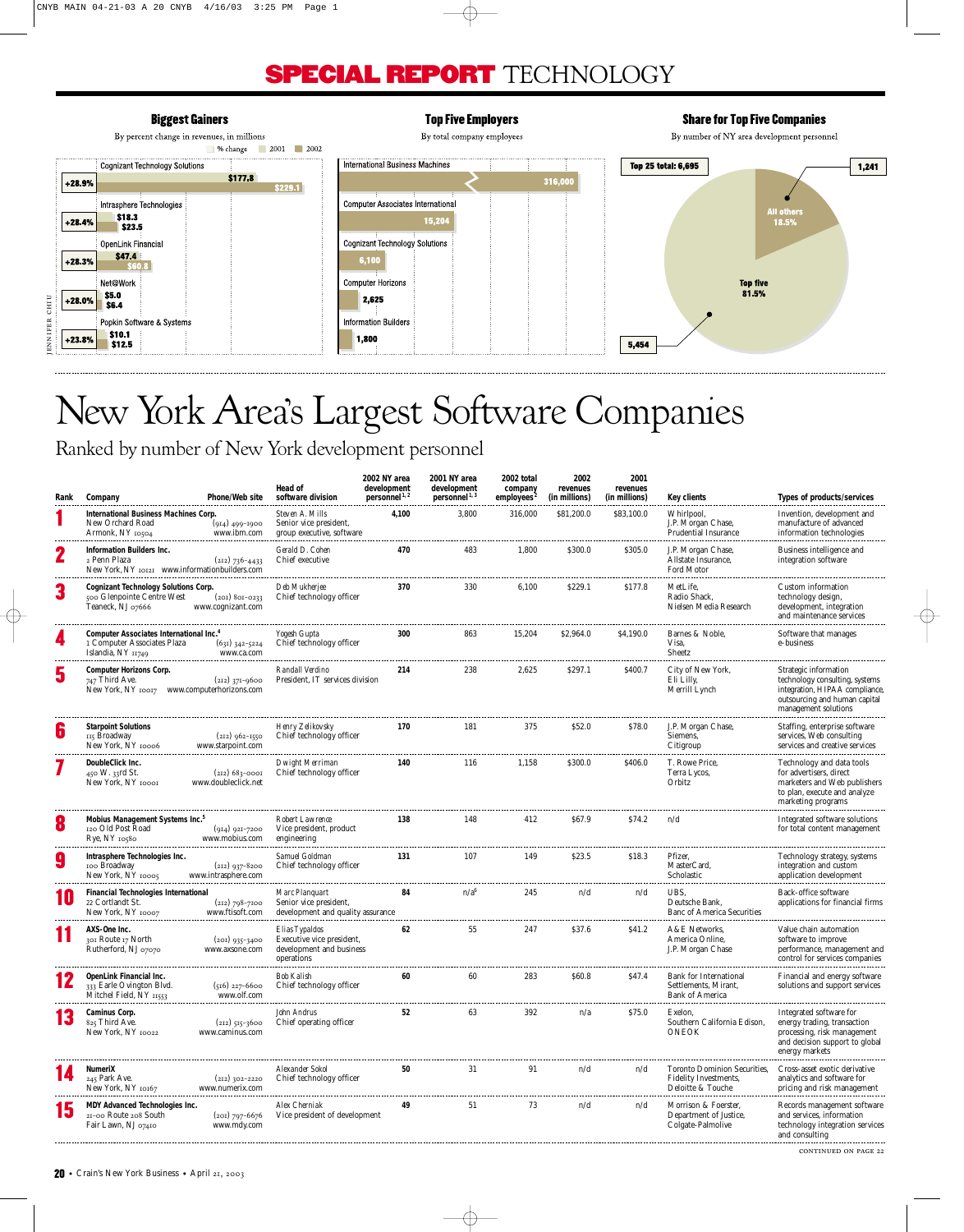### **SPECIAL REPORT** TECHNOLOGY

#### **Biggest Gainers Top Five Employers Share for Top Five Companies** By percent change in revenues, in millions By total company employees By number of NY area development personnel 9% change 2001 2002 International Business Machines **Top 25 total: 6,695** Cognizant Technology Solutions 1,241  $$177.8$ 316,000  $+28.9%$  $$229.1$ Computer Associates International Intrasphere Technologies  $\frac{1}{5}$  \$18.3 15,204  $18.5%$  $+28.4%$ Cognizant Technology Solutions OpenLink Financial \$47.4  $6,100$  $+28.3%$ Net@Work **Computer Horizons** Top five<br>81.5%  $\begin{array}{|c|c|}\n\hline\n $5.0 \\
$6.4\n\end{array}$  $+28.0%$ 2,625 JENNIFER CHIU JENNIFER CHIU **Information Builders** Popkin Software & Systems  $\frac{1}{310.1}$  $+23.8%$ 1,800  $5,454$

## New York Area's Largest Software Companies

Ranked by number of New York development personnel

| Rank | Company                                                                                           | Phone/Web site                          | Head of<br>software division                                                          | 2002 NY area<br>development<br>personnel <sup>1,2</sup> | 2001 NY area<br>development<br>personnel <sup>1, 3</sup> | 2002 total<br>company<br>employees <sup>2</sup> | 2002<br>revenues<br>(in millions) | 2001<br>revenues<br>(in millions) | Key clients                                                                              | Types of products/services                                                                                                                         |
|------|---------------------------------------------------------------------------------------------------|-----------------------------------------|---------------------------------------------------------------------------------------|---------------------------------------------------------|----------------------------------------------------------|-------------------------------------------------|-----------------------------------|-----------------------------------|------------------------------------------------------------------------------------------|----------------------------------------------------------------------------------------------------------------------------------------------------|
|      | International Business Machines Corp.<br>New Orchard Road<br>Armonk, NY 10504                     | $(914)$ 499-1900<br>www.ibm.com         | Steven A. Mills<br>Senior vice president,<br>group executive, software                | 4,100                                                   | 3,800                                                    | 316,000                                         | \$81,200.0                        | \$83,100.0                        | Whirlpool,<br>J.P. Morgan Chase,<br><b>Prudential Insurance</b>                          | Invention, development and<br>manufacture of advanced<br>information technologies                                                                  |
| 2    | Information Builders Inc.<br>2 Penn Plaza<br>New York, NY 10121 www.informationbuilders.com       | $(212)$ 736-4433                        | Gerald D. Cohen<br>Chief executive                                                    | 470                                                     | 483                                                      | 1,800                                           | \$300.0                           | \$305.0                           | J.P. Morgan Chase,<br>Allstate Insurance,<br><b>Ford Motor</b>                           | <b>Business intelligence and</b><br>integration software                                                                                           |
| 3    | <b>Cognizant Technology Solutions Corp.</b><br>500 Glenpointe Centre West<br>Teaneck, NJ 07666    | $(201)$ 801-0233<br>www.cognizant.com   | Deb Mukheriee<br>Chief technology officer                                             | 370                                                     | 330                                                      | 6,100                                           | \$229.1                           | \$177.8                           | MetLife.<br>Radio Shack,<br>Nielsen Media Research                                       | Custom information<br>technology design,<br>development, integration<br>and maintenance services                                                   |
|      | Computer Associates International Inc.<br>1 Computer Associates Plaza<br>Islandia, NY 11749       | $(631)$ 342-5224<br>www.ca.com          | Yogesh Gupta<br>Chief technology officer                                              | 300                                                     | 863                                                      | 15,204                                          | \$2,964.0                         | \$4,190.0                         | Barnes & Noble,<br>Visa,<br><b>Sheetz</b>                                                | Software that manages<br>e-business                                                                                                                |
| 5    | <b>Computer Horizons Corp.</b><br>$747$ Third Ave.<br>New York, NY 10017 www.computerhorizons.com | $(212)$ 371-9600                        | Randall Verdino<br>President, IT services division                                    | 214                                                     | 238                                                      | 2,625                                           | \$297.1                           | <b>\$400.7</b>                    | City of New York,<br>Eli Lilly,<br>Merrill Lynch                                         | Strategic information<br>technology consulting, systems<br>integration, HIPAA compliance,<br>outsourcing and human capital<br>management solutions |
| б    | <b>Starpoint Solutions</b><br>II5 Broadway<br>New York, NY 10006                                  | $(212)$ 962-1550<br>www.starpoint.com   | Henry Zelikovsky<br>Chief technology officer                                          | 170                                                     | 181                                                      | 375                                             | \$52.0                            | \$78.0                            | J.P. Morgan Chase,<br>Siemens,<br>Citigroup                                              | Staffing, enterprise software<br>services, Web consulting<br>services and creative services                                                        |
|      | DoubleClick Inc.<br>450 W. 33rd St.<br>New York, NY 10001                                         | $(212)$ 683-0001<br>www.doubleclick.net | Dwight Merriman<br>Chief technology officer                                           | 140                                                     | 116                                                      | 1,158                                           | \$300.0                           | \$406.0                           | T. Rowe Price.<br>Terra Lycos,<br>Orbitz                                                 | Technology and data tools<br>for advertisers, direct<br>marketers and Web publishers<br>to plan, execute and analyze<br>marketing programs         |
| 8    | Mobius Management Systems Inc. <sup>5</sup><br>120 Old Post Road<br>$Rye, NY$ 10580               | $(914)$ 921-7200<br>www.mobius.com      | Robert Lawrence<br>Vice president, product<br>engineering                             | 138                                                     | 148                                                      | 412                                             | \$67.9                            | \$74.2                            | n/d                                                                                      | Integrated software solutions<br>for total content management                                                                                      |
| g    | Intrasphere Technologies Inc.<br>100 Broadway<br>New York, NY 10005                               | $(212)$ 937-8200<br>www.intrasphere.com | Samuel Goldman<br>Chief technology officer                                            | 131                                                     | 107                                                      | 149                                             | \$23.5                            | \$18.3                            | Pfizer,<br>MasterCard,<br>Scholastic                                                     | Technology strategy, systems<br>integration and custom<br>application development                                                                  |
|      | <b>Financial Technologies International</b><br>22 Cortlandt St.<br>New York, NY 10007             | $(212)$ 798-7100<br>www.ftisoft.com     | Marc Planguart<br>Senior vice president,<br>development and quality assurance         | 84                                                      | n/a <sup>6</sup>                                         | 245                                             | n/d                               | n/d                               | UBS.<br>Deutsche Bank,<br><b>Banc of America Securities</b>                              | Back-office software<br>applications for financial firms                                                                                           |
|      | AXS-One Inc.<br>301 Route 17 North<br>Rutherford, NJ 07070                                        | $(201)$ 935-3400<br>www.axsone.com      | Elias Typaldos<br>Executive vice president,<br>development and business<br>operations | 62                                                      | 55                                                       | 247                                             | \$37.6                            | \$41.2                            | A&E Networks,<br>America Online,<br>J.P. Morgan Chase                                    | Value chain automation<br>software to improve<br>performance, management and<br>control for services companies                                     |
|      | OpenLink Financial Inc.<br>333 Earle Ovington Blvd.<br>Mitchel Field, NY 11553                    | $(516)$ 227-6600<br>www.olf.com         | Bob Kalish<br>Chief technology officer                                                | 60                                                      | 60                                                       | 283                                             | \$60.8                            | \$47.4                            | <b>Bank for International</b><br>Settlements, Mirant,<br>Bank of America                 | Financial and energy software<br>solutions and support services                                                                                    |
|      | Caminus Corp.<br>825 Third Ave.<br>New York, NY 10022                                             | $(212)$ 515-3600<br>www.caminus.com     | John Andrus<br>Chief operating officer                                                | 52                                                      | 63                                                       | 392                                             | n/a                               | \$75.0                            | <b>Exelon,</b><br>Southern California Edison,<br><b>ONEOK</b>                            | Integrated software for<br>energy trading, transaction<br>processing, risk management<br>and decision support to global<br>energy markets          |
|      | NumeriX<br>245 Park Ave.<br>New York, NY 10167                                                    | $(212)$ 302-2220<br>www.numerix.com     | Alexander Sokol<br>Chief technology officer                                           | 50                                                      | 31                                                       | 91                                              | n/d                               | n/d                               | <b>Toronto Dominion Securities,</b><br><b>Fidelity Investments,</b><br>Deloitte & Touche | Cross-asset exotic derivative<br>analytics and software for<br>pricing and risk management                                                         |
| 13   | <b>MDY Advanced Technologies Inc.</b><br>21-00 Route 208 South<br>Fair Lawn, NJ 07410             | $(201)$ 797-6676<br>www.mdy.com         | Alex Cherniak<br>Vice president of development                                        | 49                                                      | 51                                                       | 73                                              | n/d                               | n/d                               | Morrison & Foerster.<br>Department of Justice,<br>Colgate-Palmolive                      | Records management software<br>and services, information<br>technology integration services<br>and consulting                                      |

CONTINUED ON PAGE 22